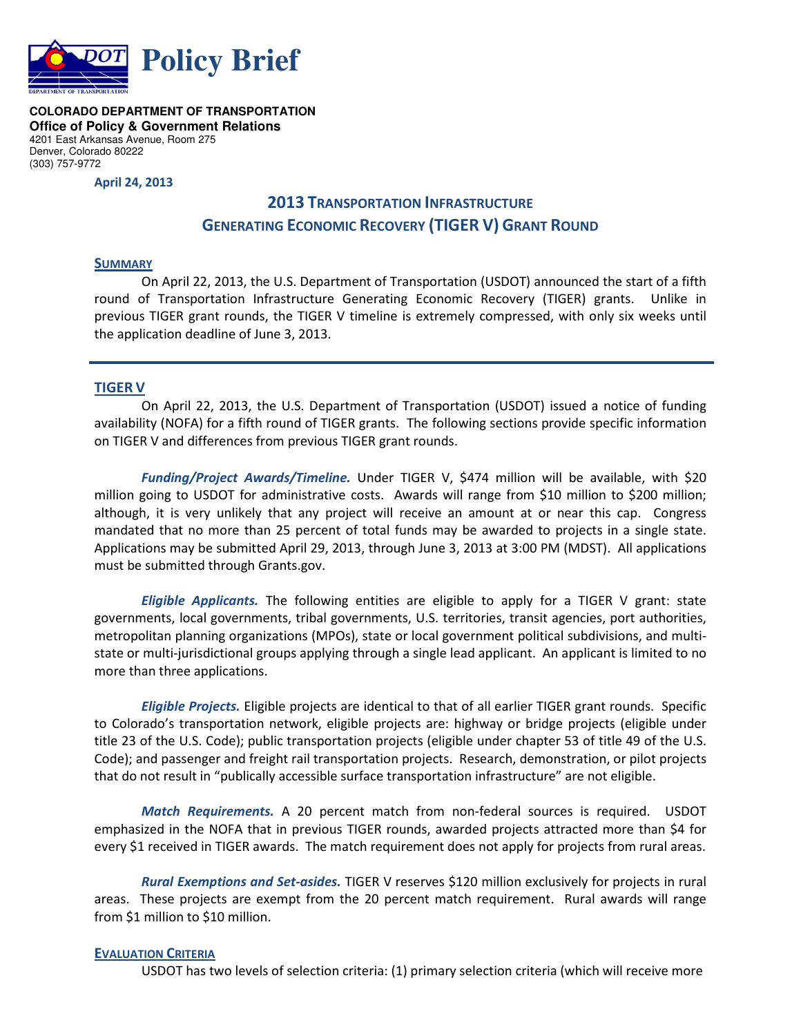

**COLORADO DEPARTMENT OF TRANSPORTATION Office of Policy & Government Relations**  4201 East Arkansas Avenue, Room 275 Denver, Colorado 80222 (303) 757-9772

**April 24, 2013** 

# **2013 TRANSPORTATION INFRASTRUCTURE GENERATING ECONOMIC RECOVERY (TIGER V) GRANT ROUND**

#### **SUMMARY**

On April 22, 2013, the U.S. Department of Transportation (USDOT) announced the start of a fifth round of Transportation Infrastructure Generating Economic Recovery (TIGER) grants. Unlike in previous TIGER grant rounds, the TIGER V timeline is extremely compressed, with only six weeks until the application deadline of June 3, 2013.

## **TIGER V**

 On April 22, 2013, the U.S. Department of Transportation (USDOT) issued a notice of funding availability (NOFA) for a fifth round of TIGER grants. The following sections provide specific information on TIGER V and differences from previous TIGER grant rounds.

*Funding/Project Awards/Timeline.* Under TIGER V, \$474 million will be available, with \$20 million going to USDOT for administrative costs. Awards will range from \$10 million to \$200 million; although, it is very unlikely that any project will receive an amount at or near this cap. Congress mandated that no more than 25 percent of total funds may be awarded to projects in a single state. Applications may be submitted April 29, 2013, through June 3, 2013 at 3:00 PM (MDST). All applications must be submitted through Grants.gov.

*Eligible Applicants.* The following entities are eligible to apply for a TIGER V grant: state governments, local governments, tribal governments, U.S. territories, transit agencies, port authorities, metropolitan planning organizations (MPOs), state or local government political subdivisions, and multistate or multi-jurisdictional groups applying through a single lead applicant. An applicant is limited to no more than three applications.

*Eligible Projects.* Eligible projects are identical to that of all earlier TIGER grant rounds. Specific to Colorado's transportation network, eligible projects are: highway or bridge projects (eligible under title 23 of the U.S. Code); public transportation projects (eligible under chapter 53 of title 49 of the U.S. Code); and passenger and freight rail transportation projects. Research, demonstration, or pilot projects that do not result in "publically accessible surface transportation infrastructure" are not eligible.

*Match Requirements.* A 20 percent match from non-federal sources is required. USDOT emphasized in the NOFA that in previous TIGER rounds, awarded projects attracted more than \$4 for every \$1 received in TIGER awards. The match requirement does not apply for projects from rural areas.

*Rural Exemptions and Set-asides.* TIGER V reserves \$120 million exclusively for projects in rural areas. These projects are exempt from the 20 percent match requirement. Rural awards will range from \$1 million to \$10 million.

### **EVALUATION CRITERIA**

USDOT has two levels of selection criteria: (1) primary selection criteria (which will receive more